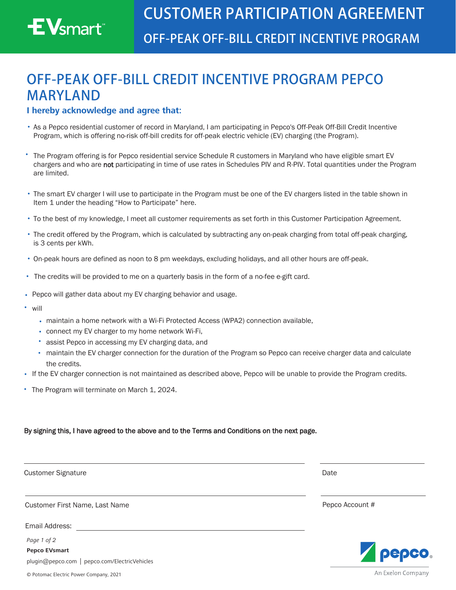# $\mathsf{EV}_{\textsf{smart}^*}$

## **OFF-PEAK OFF-BILL CREDIT INCENTIVE PROGRAM PEPCO MARYLAND**

#### **I hereby acknowledge and agree that:**

- As a Pepco residential customer of record in Maryland, I am participating in Pepco's Off-Peak Off-Bill Credit Incentive Program, which is offering no-risk off-bill credits for off-peak electric vehicle (EV) charging (the Program).
- The Program offering is for Pepco residential service Schedule R customers in Maryland who have eligible smart EV chargers and who are not participating in time of use rates in Schedules PIV and R-PIV. Total quantities under the Program are limited.
- The smart EV charger I will use to participate in the Program must be one of the EV chargers listed in the table shown in Item 1 under the heading "How to Participate" here.
- To the best of my knowledge, I meet all customer requirements as set forth in this Customer Participation Agreement.
- The credit offered by the Program, which is calculated by subtracting any on-peak charging from total off-peak charging, is 3 cents per kWh.
- On-peak hours are defined as noon to 8 pm weekdays, excluding holidays, and all other hours are off-peak.
- The credits will be provided to me on a quarterly basis in the form of a no-fee e-gift card.
- Pepco will gather data about my EV charging behavior and usage.
- will
	- maintain a home network with a Wi-Fi Protected Access (WPA2) connection available,
	- connect my EV charger to my home network Wi-Fi,
	- assist Pepco in accessing my EV charging data, and
	- maintain the EV charger connection for the duration of the Program so Pepco can receive charger data and calculate the credits.
- If the EV charger connection is not maintained as described above, Pepco will be unable to provide the Program credits.
- The Program will terminate on March 1, 2024.

#### By signing this, I have agreed to the above and to the Terms and Conditions on the next page.

Customer Signature **Date of Customer Signature**  $\blacksquare$ 

Customer First Name, Last Name **Pepco Account #** Pepco Account #

Email Address:

*Page 1 of 2*

**Pepco EVsmart** [plugin@pepco.com](mailto:plugin%40pepco.com?subject=) | [pepco.com/ElectricVehicles](http://pepco.com/ElectricVehicles)